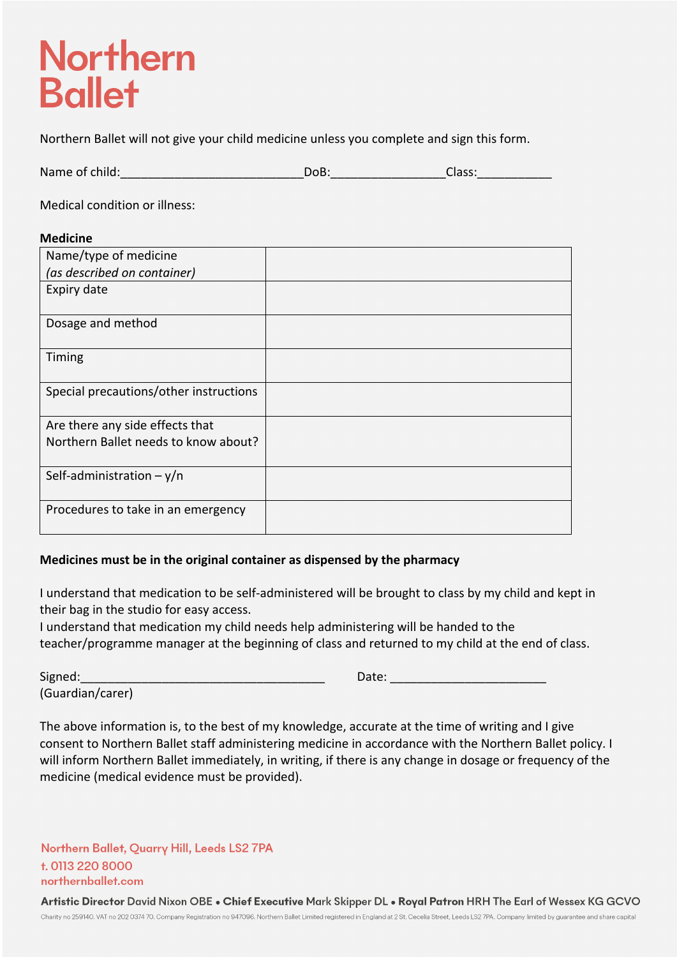## **Northern Ballet**

Northern Ballet will not give your child medicine unless you complete and sign this form.

| Name of child: | OЬ. | $\sim$<br>.idda. |  |
|----------------|-----|------------------|--|
|                |     |                  |  |

Medical condition or illness:

## **Medicine**

| Name/type of medicine                  |  |
|----------------------------------------|--|
| (as described on container)            |  |
| Expiry date                            |  |
| Dosage and method                      |  |
| Timing                                 |  |
| Special precautions/other instructions |  |
| Are there any side effects that        |  |
| Northern Ballet needs to know about?   |  |
| Self-administration $-y/n$             |  |
| Procedures to take in an emergency     |  |

## **Medicines must be in the original container as dispensed by the pharmacy**

I understand that medication to be self-administered will be brought to class by my child and kept in their bag in the studio for easy access.

I understand that medication my child needs help administering will be handed to the teacher/programme manager at the beginning of class and returned to my child at the end of class.

(Guardian/carer)

| - -<br>−igne` |  |
|---------------|--|
|               |  |

The above information is, to the best of my knowledge, accurate at the time of writing and I give consent to Northern Ballet staff administering medicine in accordance with the Northern Ballet policy. I will inform Northern Ballet immediately, in writing, if there is any change in dosage or frequency of the medicine (medical evidence must be provided).

Northern Ballet, Quarry Hill, Leeds LS2 7PA t. 0113 220 8000 northernballet.com

Artistic Director David Nixon OBE . Chief Executive Mark Skipper DL . Royal Patron HRH The Earl of Wessex KG GCVO Charity no 259140. VAT no 202 0374 70. Company Registration no 947096. Northern Ballet Limited registered in England at 2 St. Cecelia Street, Leeds LS2 7PA. Company limited by guarantee and share capital